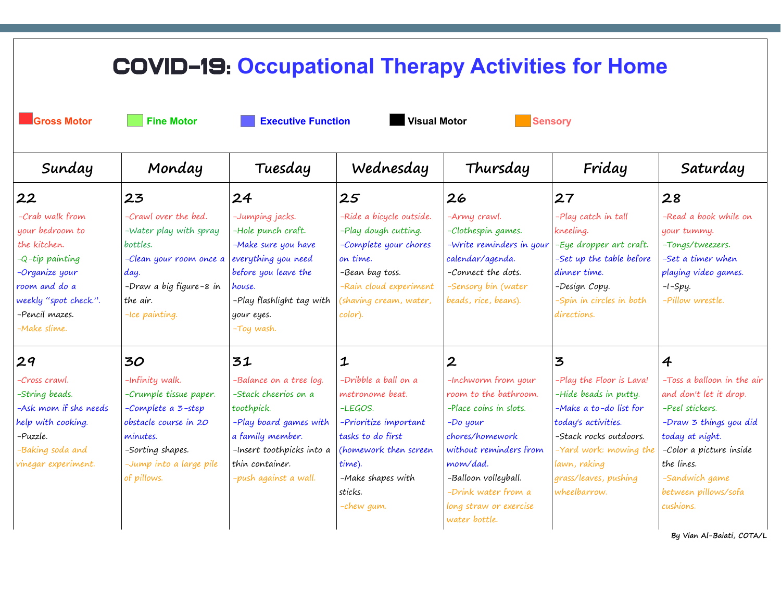| <b>COVID-19: Occupational Therapy Activities for Home</b>                                                                                                              |                                                                                                                                                                    |                                                                                                                                                                                      |                                                                                                                                                                                   |                                                                                                                                                                                                                                         |                                                                                                                                                                                                                 |                                                                                                                                                                                                                      |  |  |  |
|------------------------------------------------------------------------------------------------------------------------------------------------------------------------|--------------------------------------------------------------------------------------------------------------------------------------------------------------------|--------------------------------------------------------------------------------------------------------------------------------------------------------------------------------------|-----------------------------------------------------------------------------------------------------------------------------------------------------------------------------------|-----------------------------------------------------------------------------------------------------------------------------------------------------------------------------------------------------------------------------------------|-----------------------------------------------------------------------------------------------------------------------------------------------------------------------------------------------------------------|----------------------------------------------------------------------------------------------------------------------------------------------------------------------------------------------------------------------|--|--|--|
| <b>Gross Motor</b>                                                                                                                                                     |                                                                                                                                                                    |                                                                                                                                                                                      |                                                                                                                                                                                   |                                                                                                                                                                                                                                         |                                                                                                                                                                                                                 |                                                                                                                                                                                                                      |  |  |  |
| Sunday                                                                                                                                                                 | Monday                                                                                                                                                             | Tuesday                                                                                                                                                                              | Wednesday                                                                                                                                                                         | Thursday                                                                                                                                                                                                                                | Friday                                                                                                                                                                                                          | Saturday                                                                                                                                                                                                             |  |  |  |
| 22                                                                                                                                                                     | 23                                                                                                                                                                 | 24                                                                                                                                                                                   | 25                                                                                                                                                                                | 26                                                                                                                                                                                                                                      | 27                                                                                                                                                                                                              | 28                                                                                                                                                                                                                   |  |  |  |
| -Crab walk from<br>your bedroom to<br>the kitchen.<br>$-Q$ -tip painting<br>-Organize your<br>room and do a<br>weekly "spot check.".<br>-Pencil mazes.<br>-Make slime. | -Crawl over the bed.<br>-Water play with spray<br>bottles.<br>-Clean your room once a<br>day.<br>-Draw a big figure-8 in<br>the air.<br>-Ice painting.             | -Jumping jacks.<br>-Hole punch craft.<br>-Make sure you have<br>everything you need<br>before you leave the<br>house.<br>-Play flashlight tag with<br>your eyes.<br>-Toy wash.       | -Ride a bicycle outside.<br>-Play dough cutting.<br>-Complete your chores<br>on time.<br>-Bean bag toss.<br>-Rain cloud experiment<br>(shaving cream, water,<br>color).           | -Army crawl.<br>-Clothespin games.<br>-Write reminders in your<br>calendar/agenda.<br>-Connect the dots.<br>-Sensory bin (water<br>beads, rice, beans).                                                                                 | -Play catch in tall<br>kneeling.<br>-Eye dropper art craft.<br>-Set up the table before<br>dinner time.<br>-Design Copy.<br>-Spin in circles in both<br>directions.                                             | -Read a book while on<br>your tummy.<br>-Tongs/tweezers.<br>-Set a timer when<br>playing video games.<br>$-I-Spy.$<br>-Pillow wrestle.                                                                               |  |  |  |
| 29                                                                                                                                                                     | 30                                                                                                                                                                 | 31                                                                                                                                                                                   | $\mathbf 1$                                                                                                                                                                       | $\boldsymbol{2}$                                                                                                                                                                                                                        | 3                                                                                                                                                                                                               | $\overline{4}$                                                                                                                                                                                                       |  |  |  |
| -Cross crawl.<br>-String beads.<br>-Ask mom if she needs<br>help with cooking.<br>-Puzzle.<br>-Baking soda and<br>vinegar experiment.                                  | -Infinity walk.<br>-Crumple tissue paper.<br>-Complete a 3-step<br>obstacle course in 20<br>minutes.<br>-Sorting shapes.<br>-Jump into a large pile<br>of pillows. | -Balance on a tree log.<br>-Stack cheerios on a<br>toothpick.<br>-Play board games with<br>a family member.<br>-Insert toothpicks into a<br>thin container.<br>-push against a wall. | -Dribble a ball on a<br>metronome beat.<br>-LEGOS.<br>-Prioritize important<br>tasks to do first<br>(homework then screen<br>time).<br>-Make shapes with<br>sticks.<br>-chew gum. | -Inchworm from your<br>room to the bathroom.<br>-Place coins in slots.<br>$-Do$ your<br>chores/homework<br>without reminders from<br>mom/dad.<br>-Balloon volleyball.<br>-Drink water from a<br>long straw or exercise<br>water bottle. | -Play the Floor is Lava!<br>-Hide beads in putty.<br>-Make a to-do list for<br>today's activities.<br>-Stack rocks outdoors.<br>-Yard work: mowing the<br>lawn, raking<br>grass/leaves, pushing<br>wheelbarrow. | -Toss a balloon in the air<br>and don't let it drop.<br>-Peel stickers.<br>-Draw 3 things you did<br>today at night.<br>-Color a picture inside<br>the lines.<br>-Sandwich game<br>between pillows/sofa<br>cushions. |  |  |  |